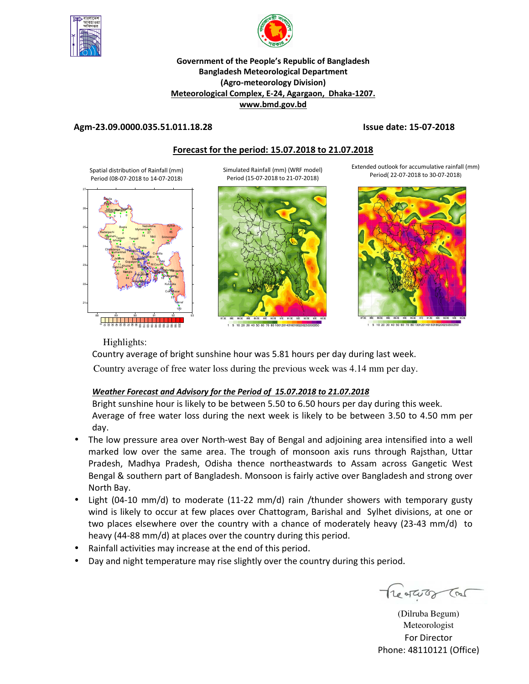



## **Government of the People's Republic of Bangladesh Bangladesh Meteorological Department (Agro-meteorology Division) Meteorological Complex, E-24, Agargaon, Dhaka-1207. www.bmd.gov.bd**

## **Agm-23.09.0000.035.51.011.18.28 Issue date: 15-07-2018**

## **Forecast for the period: 15.07.2018 to 21.07.2018**

Spatial distribution of Rainfall (mm) Period (08-07-2018 to 14-07-2018)



Simulated Rainfall (mm) (WRF model) Period (15-07-2018 to 21-07-2018)



5 10 20 30 40 50 60 70 80 10012014016018

Extended outlook for accumulative rainfall (mm) Period( 22-07-2018 to 30-07-2018)





Highlights:

Country average of bright sunshine hour was 5.81 hours per day during last week.

Country average of free water loss during the previous week was 4.14 mm per day.

## *Weather Forecast and Advisory for the Period of 15.07.2018 to 21.07.2018*

Bright sunshine hour is likely to be between 5.50 to 6.50 hours per day during this week. Average of free water loss during the next week is likely to be between 3.50 to 4.50 mm per day.

- The low pressure area over North-west Bay of Bengal and adjoining area intensified into a well marked low over the same area. The trough of monsoon axis runs through Rajsthan, Uttar Pradesh, Madhya Pradesh, Odisha thence northeastwards to Assam across Gangetic West Bengal & southern part of Bangladesh. Monsoon is fairly active over Bangladesh and strong over North Bay.
- Light (04-10 mm/d) to moderate (11-22 mm/d) rain /thunder showers with temporary gusty wind is likely to occur at few places over Chattogram, Barishal and Sylhet divisions, at one or two places elsewhere over the country with a chance of moderately heavy (23-43 mm/d) to heavy (44-88 mm/d) at places over the country during this period.
- Rainfall activities may increase at the end of this period.
- Day and night temperature may rise slightly over the country during this period.

Treateror Car

(Dilruba Begum) Meteorologist For Director Phone: 48110121 (Office)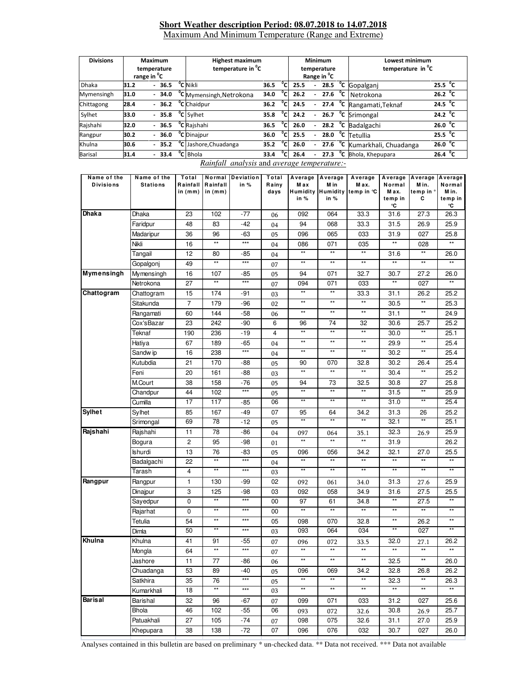#### **Short Weather description Period: 08.07.2018 to 14.07.2018** Maximum And Minimum Temperature (Range and Extreme)

| <b>Divisions</b> | Maximum<br>temperature<br>range in <sup>o</sup> C |  |                          |         |     | <b>Highest maximum</b><br>temperature in <sup>°</sup> C |      |                |      |                          | Minimum<br>temperature<br>Range in <sup>o</sup> C |        | Lowest minimum<br>temperature in C |                   |  |
|------------------|---------------------------------------------------|--|--------------------------|---------|-----|---------------------------------------------------------|------|----------------|------|--------------------------|---------------------------------------------------|--------|------------------------------------|-------------------|--|
| <b>Dhaka</b>     | 31.2                                              |  |                          | $-36.5$ |     | <sup>o</sup> C Nikli                                    | 36.5 | °c             | 25.5 | $\overline{\phantom{0}}$ | 28.5                                              | °c     | Gopalganj                          | 25.5 $\degree$ C  |  |
| Mymensingh       | 31.0                                              |  |                          | $-34.0$ |     | <sup>o</sup> C Mymensingh, Netrokona                    | 34.0 | °c             | 26.2 | $\overline{\phantom{0}}$ | 27.6                                              | $^0$ C | Netrokona                          | 26.2 $^{\circ}$ C |  |
| Chittagong       | 28.4                                              |  |                          | $-36.2$ |     | <sup>o</sup> C Chaidpur                                 | 36.2 | °cl            | 24.5 | $\overline{\phantom{0}}$ | 27.4                                              | °c     | Rangamati, Teknaf                  | 24.5 $\degree$ C  |  |
| Sylhet           | 33.0                                              |  |                          | $-35.8$ |     | <sup>o</sup> C Sylhet                                   | 35.8 | $\overline{c}$ | 24.2 | $\blacksquare$           | 26.7                                              | °c     | Srimongal                          | 24.2 $\degree$ C  |  |
| Rajshahi         | 32.0                                              |  |                          | $-36.5$ |     | °C Rajshahi                                             | 36.5 | °cı            | 26.0 | $\overline{\phantom{0}}$ | 28.2                                              | ℃      | Badalgachi                         | 26.0 $\degree$ C  |  |
| Rangpur          | 30.2                                              |  |                          | $-36.0$ |     | <sup>o</sup> C Dinajpur                                 | 36.0 | $\overline{c}$ | 25.5 | $\overline{\phantom{0}}$ | 28.0                                              | °c     | Tetullia                           | 25.5 $\degree$ C  |  |
| Khulna           | 30.6                                              |  |                          | $-35.2$ | °cl | 35.2<br>Jashore, Chuadanga                              |      | °c             | 26.0 | $\overline{\phantom{0}}$ | 27.6                                              | °c     | Kumarkhali, Chuadanga              | 26.0 $\degree$ C  |  |
| <b>Barisal</b>   | 31.4                                              |  | $\overline{\phantom{0}}$ | 33.4    |     | <sup>o</sup> C Bhola                                    | 33.4 | $\overline{c}$ | 26.4 |                          | 27.3                                              | °c     | Bhola, Khepupara                   | 26.4 $^{\circ}$ C |  |

*Rainfall analysis* and *average temperature:-*

| Name of the<br><b>Divisions</b> | Name of the<br><b>Stations</b> | Total<br>Rainfall<br>in $(mm)$ | Rainfall<br>in $(mm)$ | Normal Deviation<br>in % | Total<br>Rainy<br>days | M ax<br>in % | Average   Average   Average<br>M in<br>in % | M ax.<br>Humidity Humidity temp in °C | Normal<br>M ax.<br>temp in<br>°C | Average Average Average<br>M in.<br>temp in °<br>С | Normal<br>M in.<br>temp in<br>°C |
|---------------------------------|--------------------------------|--------------------------------|-----------------------|--------------------------|------------------------|--------------|---------------------------------------------|---------------------------------------|----------------------------------|----------------------------------------------------|----------------------------------|
| Dhaka                           | Dhaka                          | 23                             | 102                   | -77                      | 06                     | 092          | 064                                         | 33.3                                  | 31.6                             | 27.3                                               | 26.3                             |
|                                 | Faridpur                       | 48                             | 83                    | -42                      | 04                     | 94           | 068                                         | 33.3                                  | 31.5                             | 26.9                                               | 25.9                             |
|                                 | Madaripur                      | 36                             | 96                    | -63                      | 05                     | 096          | 065                                         | 033                                   | 31.9                             | 027                                                | 25.8                             |
|                                 | Nikli                          | 16                             | $**$                  | $***$                    | 04                     | 086          | 071                                         | 035                                   | $^{\star\star}$                  | 028                                                | $**$                             |
|                                 | Tangail                        | 12                             | 80                    | -85                      | 04                     | $\star\star$ | $^{\star\star}$                             | $^{\star\star}$                       | 31.6                             | $^{\star\star}$                                    | 26.0                             |
|                                 | Gopalgonj                      | 49                             | $**$                  | $***$                    | 07                     | $**$         | $**$                                        | $^{\star\star}$                       | $\star\star$                     | $^{\star\star}$                                    | $**$                             |
| <b>Mymensingh</b>               | Mymensingh                     | 16                             | 107                   | -85                      | 05                     | 94           | 071                                         | 32.7                                  | 30.7                             | 27.2                                               | 26.0                             |
|                                 | Netrokona                      | 27                             | $\star\star$          | $***$                    | 07                     | 094          | 071                                         | 033                                   | $\star\star$                     | 027                                                | $\star\star$                     |
| Chattogram                      | Chattogram                     | 15                             | 174                   | -91                      | 03                     | $**$         | $\star\star$                                | 33.3                                  | 31.1                             | 26.2                                               | 25.2                             |
|                                 | Sitakunda                      | 7                              | 179                   | -96                      | 02                     | $\star\star$ | $^{\star\star}$                             | $^{\star\star}$                       | 30.5                             | $\star\star$                                       | 25.3                             |
|                                 | Rangamati                      | 60                             | 144                   | -58                      | 06                     | $\star\star$ | $^{\star\star}$                             | $^{\star\star}$                       | 31.1                             | **                                                 | 24.9                             |
|                                 | Cox'sBazar                     | 23                             | 242                   | -90                      | 6                      | 96           | 74                                          | 32                                    | 30.6                             | 25.7                                               | 25.2                             |
|                                 | Teknaf                         | 190                            | 236                   | -19                      | 4                      | $**$         | $\star\star$                                | $\star\star$                          | 30.0                             | $\star\star$                                       | 25.1                             |
|                                 | Hatiya                         | 67                             | 189                   | -65                      | 04                     | $\star\star$ | $\star\star$                                | $\star\star$                          | 29.9                             | $^{\star\star}$                                    | 25.4                             |
|                                 | Sandw ip                       | 16                             | 238                   | $***$                    | 04                     | $\star\star$ | $\star\star$                                | $^{\star\star}$                       | 30.2                             | $\star\star$                                       | 25.4                             |
|                                 | Kutubdia                       | 21                             | 170                   | -88                      | 05                     | 90           | 070                                         | 32.8                                  | 30.2                             | 26.4                                               | 25.4                             |
|                                 | Feni                           | 20                             | 161                   | -88                      | 03                     | **           | $^{\star\star}$                             | $\star\star$                          | 30.4                             | $^{\star\star}$                                    | 25.2                             |
|                                 | M.Court                        | 38                             | 158                   | $-76$                    | 05                     | 94           | 73                                          | 32.5                                  | 30.8                             | 27                                                 | 25.8                             |
|                                 | Chandpur                       | 44                             | 102                   | $***$                    | 05                     | $\star\star$ | $^{\star\star}$                             | $\star\star$                          | 31.5                             | $\star\star$                                       | 25.9                             |
|                                 | Cumilla                        | 17                             | 117                   | -85                      | 06                     | $**$         | $**$                                        | $\star\star$                          | 31.0                             | $**$                                               | 25.4                             |
| <b>Sylhet</b>                   | Sylhet                         | 85                             | 167                   | -49                      | 07                     | 95           | 64                                          | 34.2                                  | 31.3                             | 26                                                 | 25.2                             |
|                                 | Srimongal                      | 69                             | 78                    | $-12$                    | 05                     | $\star\star$ | $**$                                        | $**$                                  | 32.1                             | $\star\star$                                       | 25.1                             |
| Rajshahi                        | Rajshahi                       | 11                             | 78                    | -86                      | 04                     | 097          | 064                                         | 35.1                                  | 32.3                             | 26.9                                               | 25.9                             |
|                                 | Bogura                         | 2                              | 95                    | -98                      | 01                     | $\star\star$ | $^{\star\star}$                             | $**$                                  | 31.9                             |                                                    | 26.2                             |
|                                 | Ishurdi                        | 13                             | 76                    | -83                      | 05                     | 096          | 056                                         | 34.2                                  | 32.1                             | 27.0                                               | 25.5                             |
|                                 | Badalgachi                     | 22                             | $\star\star$          | $***$                    | 04                     | $**$         | $**$                                        | $\star\star$                          | $\star\star$                     | $^{\star\star}$                                    | $**$                             |
|                                 | Tarash                         | 4                              | $^{\star\star}$       | $\star\star\star$        | 03                     | **           | $\star\star$                                | $**$                                  | $**$                             | $^{\star\star}$                                    | $\star\star$                     |
| Rangpur                         | Rangpur                        | $\mathbf{1}$                   | 130                   | -99                      | 02                     | 092          | 061                                         | 34.0                                  | 31.3                             | 27.6                                               | 25.9                             |
|                                 | Dinajpur                       | 3                              | 125                   | -98                      | 03                     | 092          | 058                                         | 34.9                                  | 31.6                             | 27.5                                               | 25.5                             |
|                                 | Sayedpur                       | 0                              | $\star\star$          | $***$                    | 00                     | 97           | 61                                          | 34.8                                  | $^{\star\star}$                  | 27.5                                               | $***$                            |
|                                 | Rajarhat                       | 0                              | $\star\star$          | $***$                    | 00                     | $\star\star$ | $\star\star$                                | $\star\star$                          | $\star\star$                     | $^{\star\star}$                                    | $**$                             |
|                                 | Tetulia                        | 54                             | $\star\star$          | $***$                    | 05                     | 098          | 070                                         | 32.8                                  | $^{\star\star}$                  | 26.2                                               | $***$                            |
|                                 | Dimla                          | 50                             | $**$                  | $***$                    | 03                     | 093          | 064                                         | 034                                   | $**$                             | 027                                                | $\overline{\ast}$                |
| Khulna                          | Khulna                         | 41                             | 91                    | -55                      | 07                     | 096          | 072                                         | 33.5                                  | 32.0                             | 27.1                                               | 26.2                             |
|                                 | Mongla                         | 64                             | $\star\star$          | $***$                    | 07                     | $**$         | $**$                                        | $**$                                  | $**$                             | $\star\star$                                       | $\star\star$                     |
|                                 | Jashore                        | 11                             | 77                    | $-86$                    | 06                     | $**$         | $***$                                       | $***$                                 | 32.5                             | $**$                                               | 26.0                             |
|                                 | Chuadanga                      | 53                             | 89                    | $-40$                    | 05                     | 096          | 069                                         | 34.2                                  | 32.8                             | 26.8                                               | 26.2                             |
|                                 | Satkhira                       | 35                             | 76                    | $***$                    | 05                     | $**$         | $^{\star\star}$                             | $^{\star\star}$                       | 32.3                             | $^{\star\star}$                                    | 26.3                             |
|                                 | Kumarkhali                     | 18                             | $**$                  | $***$                    | 03                     | $**$         | $^{\star\star}$                             | $^{\star\star}$                       | $\star\star$                     | $**$                                               | $\star\star$                     |
| Barisal                         | Barishal                       | 32                             | 96                    | -67                      | 07                     | 099          | 071                                         | 033                                   | 31.2                             | 027                                                | 25.6                             |
|                                 | Bhola                          | 46                             | 102                   | -55                      | 06                     | 093          | 072                                         | 32.6                                  | 30.8                             | 26.9                                               | 25.7                             |
|                                 | Patuakhali                     | 27                             | 105                   | $-74$                    | 07                     | 098          | 075                                         | 32.6                                  | 31.1                             | 27.0                                               | 25.9                             |
|                                 | Khepupara                      | 38                             | 138                   | $-72$                    | 07                     | 096          | 076                                         | 032                                   | 30.7                             | 027                                                | 26.0                             |

Analyses contained in this bulletin are based on preliminary \* un-checked data. \*\* Data not received. \*\*\* Data not available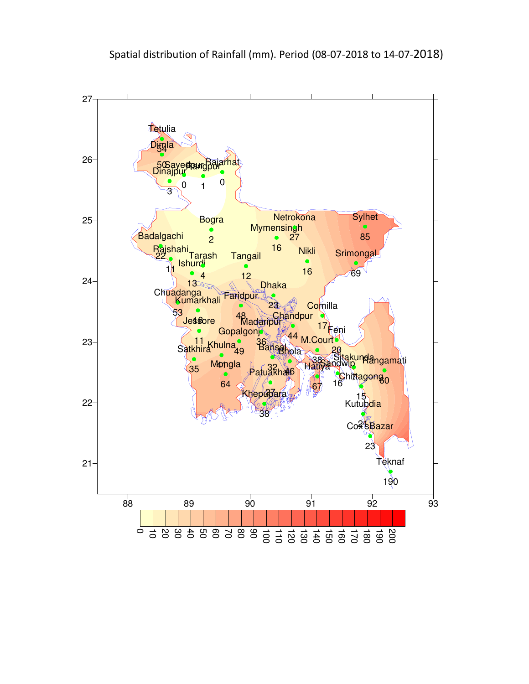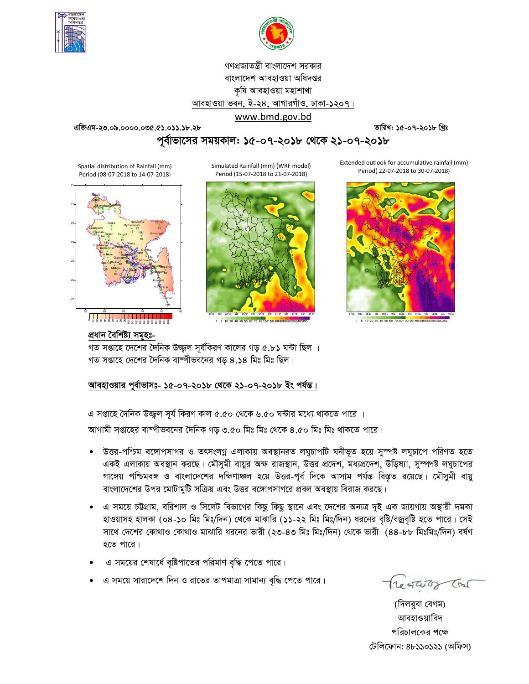



# গণপ্রজাতন্ত্রী বাংলাদেশ সরকার বাংলাদেশ আবহাওয়া অধিদপ্তর কৃষি আবহাওয়া মহাশাখা আবহাওয়া ভবন, ই-২৪, আগারগাঁও, ঢাকা-১২০৭।

www.bmd.gov.bd

**GwRGg-23.09.0000.035.51.011.18.28 ZvwiL: 15-07-2018 wLªt**

<u>পূর্বাভাসের সময়কাল: ১৫-০৭-২০১৮ থেকে ২১-০৭-২০১৮</u>

Spatial distribution of Rainfall (mm) Period (08-07-2018 to 14-07-2018)



Simulated Rainfall (mm) (WRF model) Period (15-07-2018 to 21-07-2018)



1 5 10 20 30 40 50 60 70 80 10012014016018020025

Extended outlook for accumulative rainfall (mm) Period( 22-07-2018 to 30-07-2018)



5 10 20 30 40 50 60 70 80 1001201401601802002

## প্ৰধান বৈশিষ্ট্য সমূহঃ-

গত সপ্তাহে দেশের দৈনিক উজ্জল সূর্যকিরণ কালের গড় ৫.৮১ ঘন্টা ছিল । গত সপ্তাহে দেশের দৈনিক বাষ্পীভবনের গড ৪.১৪ মিঃ মিঃ ছিল।

## আবহাওয়ার পূর্বাভাসঃ- ১৫-০৭-২০**১৮ থেকে ২১-০৭-২০১৮ ইং পর্যন্ত।**

এ সপ্তাহে দৈনিক উজ্জল সূর্য কিরণ কাল ৫.৫০ থেকে ৬.৫০ ঘন্টার মধ্যে থাকতে পারে ।

আগামী সপ্তাহের বাম্পীভবনের দৈনিক গড় ৩.৫০ মিঃ মিঃ থেকে ৪.৫০ মিঃ মিঃ থাকতে পারে।

- উত্তর-পশ্চিম বঙ্গোপসাগর ও তৎসংলগ্ন এলাকায় অবস্থানরত লঘুচাপটি ঘনীভূত হয়ে সুস্পষ্ট লঘুচাপে পরিণত হতে একই এলাকায় অবস্থান করছে। মৌসুমী বায়ুর অক্ষ রাজস্থান, উত্তর প্রদেশ, মধ্যপ্রদেশ, উড়িষ্যা, সুস্পপষ্ট লঘুচাপের গাঙ্গেয় পশ্চিমবঙ্গ ও বাংলাদেশের দক্ষিণাঞ্চল হয়ে উত্তর-পূর্ব দিকে আসাম পর্যন্ত বিস্তৃত রয়েছে। মৌসুমী বায়ু বাংলাদেশের উপর মোটামুটি সক্রিয় এবং উত্তর বঙ্গোপসাগরে প্রবল অবস্থায় বিরাজ করছে।
- এ সময়ে চউগ্রাম, বরিশাল ও সিলেট বিভাগের কিছু কিছু স্থানে এবং দেশের অন্যত্র দুই এক জায়গায় অস্থায়ী দমকা হাওয়াসহ হালকা (০৪-১০ মিঃ মিঃ/দিন) থেকে মাঝারি (১১-২২ মিঃ মিঃ/দিন) ধরনের বৃষ্টি/বজ্রবৃষ্টি হতে পারে। সেই সাথে দেশের কোথাও কোথাও মাঝারি ধরনের ভারী (২৩-৪৩ মিঃ মিঃ/দিন) থেকে ভারী (৪৪-৮৮ মিঃমিঃ/দিন) বর্ষণ হতে পারে।
- এ সময়ের শেষার্ধে বৃষ্টিপাতের পরিমাণ বৃদ্ধি পেতে পারে।
- এ সময়ে সারাদেশে দিন ও রাতের তাপমাত্রা সামান্য বৃদ্ধি পেতে পারে।

Treatures Con

(দিলরুবা বেগম) আবহাওয়াবিদ পরিচালকের পক্ষে : ( !)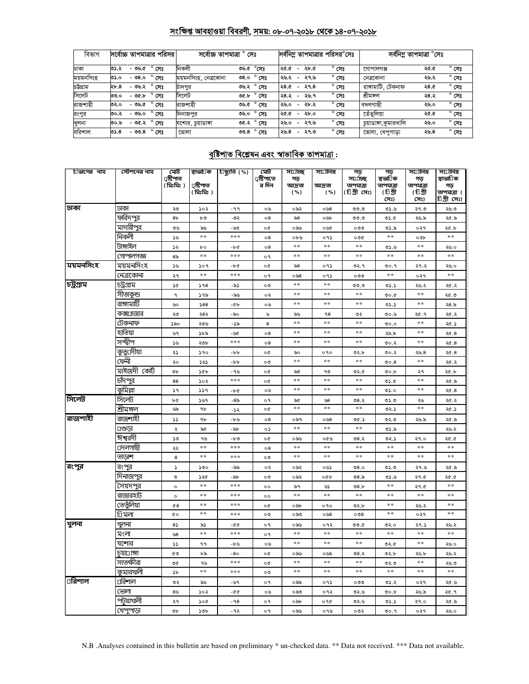## সংক্ষিপ্ত আবহাওয়া বিবরণী, সময়: ০৮-০৭-২০১৮ থেকে ১৪-০৭-২০১৮

| বিভাগ     | সর্বোচ্চ তাপমাত্রার পরিসর।      | সৰ্বোচ্চ তাপমাত্ৰা<br>সেঃ    |                |      |                                  | সর্বনিম্ন তাপমাত্রার পরিসর°সেঃ | সৰ্বনিম্ন তাপমাত্ৰা <sup>o</sup> সেঃ |      |                |
|-----------|---------------------------------|------------------------------|----------------|------|----------------------------------|--------------------------------|--------------------------------------|------|----------------|
| ঢাকা      | সেঃ<br>-৩৬.৫<br>৩১.২            | নিকলী<br>৩৬.৫ °সেঃ           |                | ২৫.৫ | ২৮.৫<br>$\overline{\phantom{a}}$ | $^{\circ}$ সেঃ                 | গোপালগঞ্জ                            | ২৫.৫ | $^{\circ}$ সেঃ |
| ময়মনসিংহ | - ৩৪.০<br>সেঃ<br>৩১.০           | ময়মনসিংহ, নেত্ৰকোনা<br>0.8c | $^{\circ}$ সেঃ | ২৬.২ | ২৭.৬<br>$\overline{\phantom{a}}$ | $^{\circ}$ সেঃ                 | নেত্ৰকোনা                            | ২৬.২ | $^{\circ}$ সেঃ |
| চউগ্ৰাম   | ২৮.৪<br>- ৩৬.২<br>সেঃ           | ৩৬.২ ° সেঃ<br>চাদপর          |                | ২৪.৫ | ২৭.৪<br>$\overline{\phantom{a}}$ | $^{\circ}$ সেঃ                 | রাঙ্গামাটি, টেকনাফ                   | ২৪.৫ | $^{\circ}$ সেঃ |
| সিলেট     | - ৩৫.৮<br>সেঃ<br>৩৩.০           | সিলেট<br><b>00.b</b>         | $^{\circ}$ সেঃ | ২৪.২ | ২৬.৭<br>$\overline{\phantom{a}}$ | $^{\circ}$ সেঃ                 | শ্ৰীমঙ্গল                            | ২৪.২ | $^{\circ}$ সেঃ |
| রাজশাহী   | ۰<br>-৩৬.৫<br>সেঃ<br>৩২.০       | রাজশাহী<br>৩৬.৫              | $^{\circ}$ সেঃ | ২৬.০ | ২৮.২<br>$\overline{\phantom{0}}$ | $^{\circ}$ সেঃ                 | বদলগাছী                              | ২৬.০ | $^{\circ}$ সেঃ |
| রংপুর     | $^{\circ}$ সেঃ<br>-৩৬.০<br>৩০.২ | ৩৬.০<br>দিনাজপুর             | $^{\circ}$ সেঃ | ২৫.৫ | ২৮.০<br>$\overline{\phantom{a}}$ | $^{\circ}$ সেঃ                 | তেঁতুলিয়া                           | ২৫.৫ | $^{\circ}$ সেঃ |
| খুলনা     | - ৩৫.২<br>নেঃ<br>৩০.৬           | ৩৫.২<br>যশোর, চয়াডাঙ্গা     | $^{\circ}$ সেঃ | ২৬.০ | ২৭.৬<br>$\overline{\phantom{0}}$ | $^{\circ}$ সেঃ                 | চুয়াডাঙ্গা,কুমারখালি                | ২৬.০ | $^{\circ}$ সেঃ |
| বরিশাল    | ۰<br>- ৩৩.৪<br>৩১.৪<br>সেঃ      | ೦೦.8<br>ভোলা                 | $^{\circ}$ সেঃ | ২৬.৪ | ২৭.৩<br>$\overline{\phantom{0}}$ | $^{\circ}$ সেঃ                 | ভোলা, খেপুপাড়া                      | ২৬.৪ | $^{\circ}$ সেঃ |

## <u> বৃষ্টিপাত বিশ্লেষন এবং স্বাভাবিক তাপমাত্ৰা :</u>

| িভাগের নাম | স্টেশনের নাম    | মেট<br>ঢ়ষ্টিপাত | স্বাভা∏ক                 | ্রিষ্কৃতি (%) | মেট<br>্ৰষ্টিপাতে | স⊔োঁচছ<br>গড়  | স⊔োনিম                     | গড়<br>স⊔োচ্ছ             | গড়<br>স্বভা∏ক               | সর্ােনিম্ন<br>গড়            | সর্ােনিম্ন<br>স্বাভা∏ক           |
|------------|-----------------|------------------|--------------------------|---------------|-------------------|----------------|----------------------------|---------------------------|------------------------------|------------------------------|----------------------------------|
|            |                 | (মিঃমিঃ)         | ঢ়াষ্টিপাত<br>( মিঃমিঃ ) |               | র দিন             | আদ্ৰতা<br>( %) | আদ্ৰতা<br>( %)             | তাপমাত্রা<br>(টিগ্ৰী সেঃ) | তাপমাত্রা<br>(টিগ্রী<br>সেঃ) | তাপমাত্রা<br>(টিগ্রী<br>সেঃ) | গড়<br>তাপমাত্রা (<br>চিগ্ৰীসেঃ) |
| ঢাকা       | ঢাকা            | ২৩               | ১০২                      | $-99$         | ০৬                | ০৯২            | ০৬৪                        | ৩৩.৩                      | ৩১.৬                         | ২৭.৩                         | ২৬.৩                             |
|            | ফরিদ <u>পুর</u> | 8 <sub>b</sub>   | ৮৩                       | -8২           | ο8                | ৯৪             | ০৬৮                        | ৩৩.৩                      | ৩১.৫                         | ২৬.৯                         | ২৫.৯                             |
|            | মাদারীপুর       | ৩৬               | ৯৬                       | -৬৩           | o¢                | ০৯৬            | ০৬৫                        | ০৩৩                       | ৩১.৯                         | ०२१                          | ২৫.৮                             |
|            | নিকলী           | ১৬               | **                       | $* * *$       | $\circ$ 8         | ০৮৬            | ०१১                        | ০৩৫                       | $* *$                        | ০২৮                          | **                               |
|            | টাঙ্গাইল        | ১২               | bο                       | $-bc$         | $^{\circ8}$       | $\ast$         | $\ast$                     | **                        | ৩১.৬                         | **                           | ২৬.০                             |
|            | গোপালগজ্ঞ       | 8 <sub>o</sub>   | $\ast$                   | $***$         | o٩                | $\ast$         | $\ast$                     | $\ast$                    | $\ast$ $\ast$                | **                           | $* *$                            |
| ময়মনসিংহ  | ময়মনসিংহ       | ১৬               | ১০৭                      | -৮৫           | o¢                | ৯৪             | ०१১                        | ৩২.৭                      | ৩০.৭                         | ২৭.২                         | ২৬.০                             |
|            | নেত্ৰকোনা       | ২৭               | **                       | $* * *$       | o٩                | ০৯৪            | ०१১                        | ০৩৩                       | $\ast$ $\ast$                | ०२१                          | $* *$                            |
| চট্ৰগ্ৰাম  | চট্ৰগ্ৰাম       | ১৫               | 598                      | -৯১           | ೦೨                | **             | $\gg \gg$                  | ৩৩.৩                      | ৩১.১                         | ২৬.২                         | ২৫.২                             |
|            | সীতাকুন্ড       | ٩                | ১৭৯                      | -৯৬           | ০২                | $\ast$         | $\ast$                     | $\ast$                    | 0.0                          | $\ast$                       | ২৫.৩                             |
|            | রাঙ্গামাটি      | ৬০               | 588                      | -45           | ০৬                | $\ast$ $\ast$  | $**$                       | $\ast$ $\ast$             | ৩১.১                         | $**$                         | ২৪.৯                             |
|            | কক্স⊔াজার       | ২৩               | ২৪২                      | -৯০           | ৬                 | ৯৬             | 98                         | ৩২                        | 0.60                         | ২৫.৭                         | ২৫.২                             |
|            | টেকনাফ          | ১৯০              | ২৩৬                      | -১৯           | 8                 | $**$           | **                         | $**$                      | 0.00                         | **                           | ২৫.১                             |
|            | হাতিয়া         | ৬৭               | ১৮৯                      | -৬৫           | $\circ 8$         | $\ast$         | $\ast$                     | $\ast$                    | ২৯.৯                         | **                           | 26.8                             |
|            | সন্দ্বীপ        | ১৬               | ২৩৮                      | $***$         | $^{\circ8}$       | $\pm$ $\pm$    | $\pm$ $\pm$                | $**$                      | ৩০.২                         | $\pm$ $\pm$                  | 26.8                             |
|            | কুতু্⊔দীয়া     | ২১               | ১৭০                      | $-b$          | o¢                | ৯০             | ०१०                        | ৩২.৮                      | ৩০.২                         | ২৬.৪                         | ২৫.৪                             |
|            | ফেনী            | ২০               | ১৬১                      | $-b$          | ೦೨                | **             | **                         | **                        | 00.8                         | **                           | ২৫.২                             |
|            | মাইজদী কোঁট     | ৩৮               | ১৫৮                      | - ৭৬          | o¢                | ৯৪             | ৭৩                         | ৩২.৫                      | ৩০.৮                         | ২৭                           | ২৫.৮                             |
|            | চাঁদ <u>পুর</u> | 88               | ১০২                      | $* * *$       | o¢                | $**$           | $**$                       | $**$                      | ৩১.৫                         | **                           | ২৫.৯                             |
|            | কুমিল্লা        | ১৭               | ১১৭                      | $-bc$         | ০৬                | $\ast$         | **                         | $\ast$                    | ৩১.০                         | **                           | ২৫.8                             |
| সিলেট      | সিলেট           | b¢               | ১৬৭                      | -8৯           | o٩                | ৯৫             | ৬৪                         | ৩৪.২                      | ৩১.৩                         | ২৬                           | ২৫.২                             |
|            | শ্ৰীমঙ্গল       | ৬৯               | ٩b                       | -১২           | o¢                | $**$           | **                         | $**$                      | ৩২.১                         | **                           | ২৫.১                             |
| রাজশাহী    | রাজশাইী         | ১১               | 9 <sub>b</sub>           | -৮৬           | $\circ$ 8         | ০৯৭            | ০৬ $8$                     | ৩৫.১                      | ৩২.৩                         | ২৬.৯                         | ২৫.৯                             |
|            | ⊔গুড়া          | ২                | ৯৫                       | -৯৮           | ০১                | $\ast$         | **                         | $\ast$                    | ৩১.৯                         |                              | ২৬.২                             |
|            | ঈশ্বরদী         | ১৩               | ৭৬                       | -৮৩           | o¢                | ০৯৬            | ০৫৬                        | ৩৪.২                      | ৩২.১                         | ২৭.০                         | ২৫.৫                             |
|            | ⊔দলগাছী         | ২২               | $\pm$ $\pm$              | ***           | $\circ 8$         | $\pm$ $\pm$    | $\pm$ $\pm$                | $\gg \gg$                 | $\ast$ $\ast$                | $\pm$ $\pm$                  | $\ast\ast$                       |
|            | তাড়াশ          | 8                | **                       | $***$         | ೲ                 | $**$           | $\gg \gg$                  | $**$                      | $\pm$ $\pm$                  | **                           | $\pm$ $\pm$                      |
| রংপুর      | রংপুর           | S                | ১৩০                      | -৯৯           | ०२                | ০৯২            | ০৬১                        | 08.0                      | ৩১.৩                         | ২৭.৬                         | ২৫.৯                             |
|            | দিনাজপুর        | ৩                | ১২৫                      | -৯৮           | ೲ                 | ০৯২            | ০৫৮                        | ల8.స                      | ৩১.৬                         | ২৭.৫                         | ২৫.৫                             |
|            | সৈয়দপুর        | $\circ$          | **                       | $***$         | $^{\circ}$        | ৯৭             | ৬১                         | 08.5                      | $*\ast$                      | ২৭.৫                         | **                               |
|            | রাজারহাট        | $\circ$          | $\ast$                   | ***           | $\circ$           | $\ast$         | $**$                       | $\gg \gg$                 | $\gg \gg$                    | **                           | $**$                             |
|            | তেতুঁলিয়া      | 68               | **                       | $***$         | o¢                | ০৯৮            | ०१०                        | ৩২.৮                      | $**$                         | ২৬.২                         | **                               |
|            | া মলা           | <b>CO</b>        | $**$                     | $***$         | ೦೨                | ಂನಿಲ           | ০৬৪                        | 008                       | $\ast$ $\ast$                | ०२१                          | **                               |
| খুলনা      | খুলনা           | 85               | ৯১                       | $-00$         | o٩                | ০৯৬            | ०१२                        | ৩৩.৫                      | ৩২.০                         | ২৭.১                         | ২৬.২                             |
|            | মংলা            | ৬৪               | $* *$                    | ***           | ०१                | $* *$          | **                         | $\gg \gg$                 | $\pm$ $\pm$                  | **                           | $* *$                            |
|            | যশোর            | دد               | ۹۹                       | -৮৬           | ০৬                | **             | **                         | **                        | ৩২.৫                         | **                           | ২৬.০                             |
|            | চয়া⊡াঙ্গা      | ৫৩               | ৮৯                       | $-80$         | o¢                | ০৯৬            | ০৬৯                        | 08.3                      | ৩২.৮                         | ২৬.৮                         | ২৬.২                             |
|            | সাতক্ষীরা       | ৩৫               | ৭৬<br>$\pm$              | $***$         | o¢                | $**$           | $\pm$ $\pm$<br>$\pm$ $\pm$ | $**$                      | ৩২.৩<br>$\pm$ $\pm$          | **                           | ২৬.৩<br>$\pm$ $\pm$              |
|            | কুমারখালী       | ১৮               |                          | $* * *$       | ೦೨                | $\pm$ $\pm$    |                            | $\pm$ $\pm$               |                              | $**$                         |                                  |
| ⊔রিশাল     | ⊔রিশাল          | ৩২               | ৯৬                       | -৬৭           | o٩                | ০৯৯            | ०१১                        | ০৩৩                       | ৩১.২                         | ०२१                          | ২৫.৬                             |
|            | ভোলা            | 8 <sub>0</sub>   | ১০২                      | -00           | ০৬                | ಂನಿಲ           | ०१२                        | ৩২.৬                      | 00.b                         | ২৬.৯                         | ২৫.৭                             |
|            | পট্য়াখালী      | ২৭               | ১০৫                      | $-98$         | o٩                | ০৯৮            | ०१৫                        | ৩২.৬                      | ৩১.১                         | ২৭.০                         | ২৫.৯                             |
|            | খেপুপাড়া       | ৩৮               | ১৩৮                      | - 92          | ०१                | ০৯৬            | ০ ৭৬                       | ০৩২                       | ৩০.৭                         | ०२१                          | ২৬.০                             |

N.B .Analyses contained in this bulletin are based on preliminary \* un-checked data. \*\* Data not received. \*\*\* Data not available.